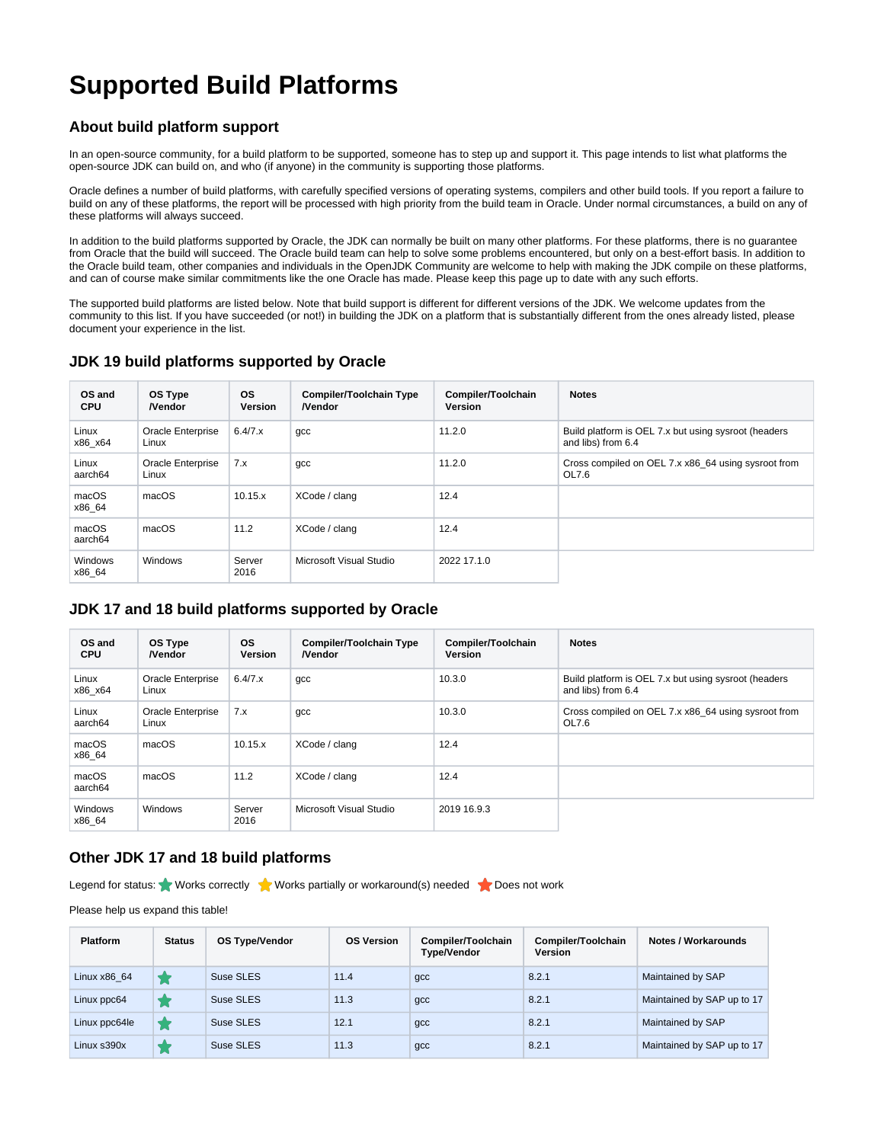# **Supported Build Platforms**

#### **About build platform support**

In an open-source community, for a build platform to be supported, someone has to step up and support it. This page intends to list what platforms the open-source JDK can build on, and who (if anyone) in the community is supporting those platforms.

Oracle defines a number of build platforms, with carefully specified versions of operating systems, compilers and other build tools. If you report a failure to build on any of these platforms, the report will be processed with high priority from the build team in Oracle. Under normal circumstances, a build on any of these platforms will always succeed.

In addition to the build platforms supported by Oracle, the JDK can normally be built on many other platforms. For these platforms, there is no guarantee from Oracle that the build will succeed. The Oracle build team can help to solve some problems encountered, but only on a best-effort basis. In addition to the Oracle build team, other companies and individuals in the OpenJDK Community are welcome to help with making the JDK compile on these platforms, and can of course make similar commitments like the one Oracle has made. Please keep this page up to date with any such efforts.

The supported build platforms are listed below. Note that build support is different for different versions of the JDK. We welcome updates from the community to this list. If you have succeeded (or not!) in building the JDK on a platform that is substantially different from the ones already listed, please document your experience in the list.

#### **JDK 19 build platforms supported by Oracle**

| OS and<br><b>CPU</b> | OS Type<br><b>Nendor</b>   | <b>OS</b><br><b>Version</b> | <b>Compiler/Toolchain Type</b><br><b>Nendor</b> | Compiler/Toolchain<br>Version | <b>Notes</b>                                                               |
|----------------------|----------------------------|-----------------------------|-------------------------------------------------|-------------------------------|----------------------------------------------------------------------------|
| Linux<br>x86_x64     | Oracle Enterprise<br>Linux | 6.4/7.x                     | $qcc$                                           | 11.2.0                        | Build platform is OEL 7.x but using sysroot (headers<br>and libs) from 6.4 |
| Linux<br>aarch64     | Oracle Enterprise<br>Linux | 7.x                         | gcc                                             | 11.2.0                        | Cross compiled on OEL 7.x x86 64 using sysroot from<br>OL7.6               |
| macOS<br>x86 64      | macOS                      | 10.15.x                     | XCode / clang                                   | 12.4                          |                                                                            |
| macOS<br>aarch64     | macOS                      | 11.2                        | XCode / clang                                   | 12.4                          |                                                                            |
| Windows<br>x86 64    | Windows                    | Server<br>2016              | Microsoft Visual Studio                         | 2022 17.1.0                   |                                                                            |

#### **JDK 17 and 18 build platforms supported by Oracle**

| OS and<br><b>CPU</b> | OS Type<br><b>Nendor</b>   | <b>OS</b><br><b>Version</b> | <b>Compiler/Toolchain Type</b><br><b>Nendor</b> | Compiler/Toolchain<br><b>Version</b> | <b>Notes</b>                                                               |
|----------------------|----------------------------|-----------------------------|-------------------------------------------------|--------------------------------------|----------------------------------------------------------------------------|
| Linux<br>x86 x64     | Oracle Enterprise<br>Linux | 6.4/7.x                     | gcc                                             | 10.3.0                               | Build platform is OEL 7.x but using sysroot (headers<br>and libs) from 6.4 |
| Linux<br>aarch64     | Oracle Enterprise<br>Linux | 7.x                         | gcc                                             | 10.3.0                               | Cross compiled on OEL 7.x x86 64 using sysroot from<br>OL7.6               |
| macOS<br>x86 64      | macOS                      | 10.15.x                     | XCode / clang                                   | 12.4                                 |                                                                            |
| macOS<br>aarch64     | macOS                      | 11.2                        | XCode / clang                                   | 12.4                                 |                                                                            |
| Windows<br>x86 64    | Windows                    | Server<br>2016              | Microsoft Visual Studio                         | 2019 16.9.3                          |                                                                            |

#### **Other JDK 17 and 18 build platforms**

Legend for status: Works correctly Works partially or workaround(s) needed  $\sum$  Does not work

Please help us expand this table!

| <b>Platform</b> | <b>Status</b> | <b>OS Type/Vendor</b> | <b>OS Version</b> | Compiler/Toolchain<br><b>Type/Vendor</b> | Compiler/Toolchain<br>Version | Notes / Workarounds        |
|-----------------|---------------|-----------------------|-------------------|------------------------------------------|-------------------------------|----------------------------|
| Linux x86 64    |               | Suse SLES             | 11.4              | $gcc$                                    | 8.2.1                         | Maintained by SAP          |
| Linux ppc64     |               | Suse SLES             | 11.3              | $gcc$                                    | 8.2.1                         | Maintained by SAP up to 17 |
| Linux ppc64le   |               | Suse SLES             | 12.1              | $gcc$                                    | 8.2.1                         | Maintained by SAP          |
| Linux s390x     |               | Suse SLES             | 11.3              | $qcc$                                    | 8.2.1                         | Maintained by SAP up to 17 |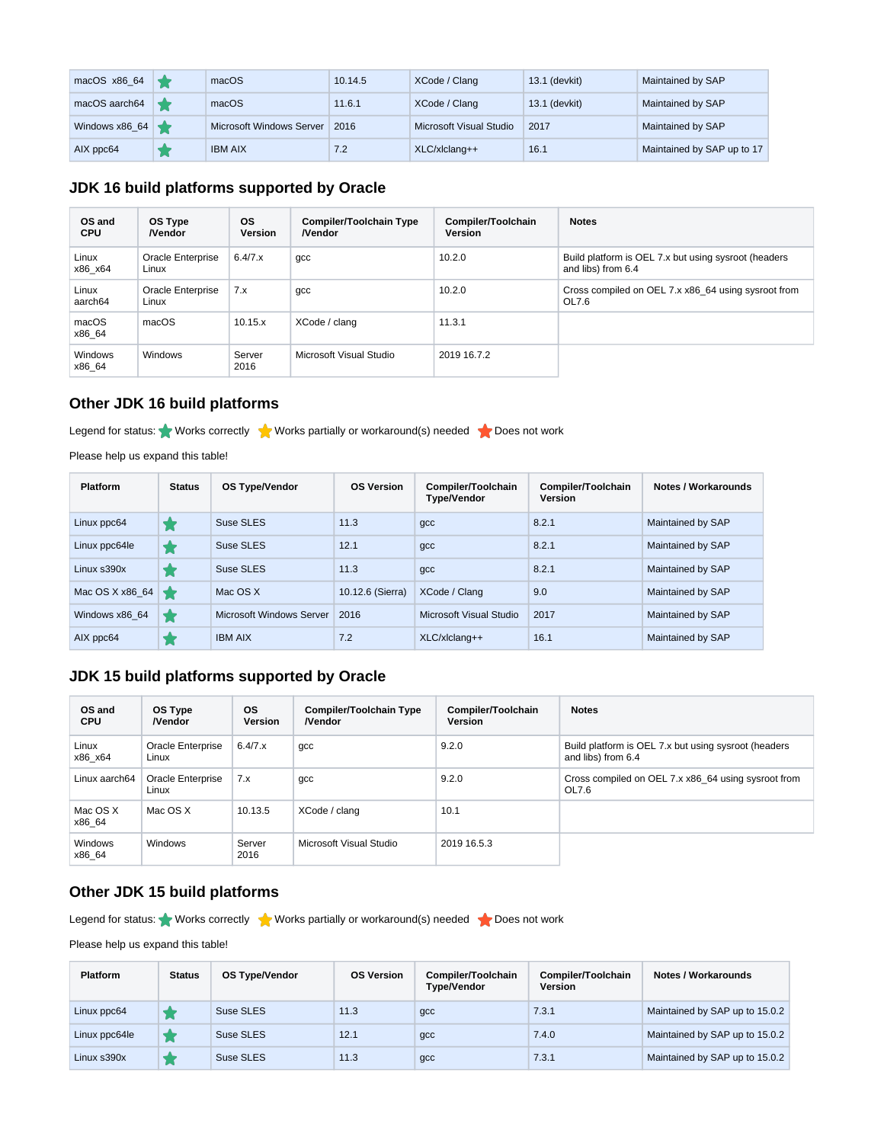| macOS x86_64   | macOS                           | 10.14.5 | XCode / Clang           | 13.1 (devkit) | Maintained by SAP          |
|----------------|---------------------------------|---------|-------------------------|---------------|----------------------------|
| macOS aarch64  | macOS                           | 11.6.1  | XCode / Clang           | 13.1 (devkit) | Maintained by SAP          |
| Windows x86_64 | <b>Microsoft Windows Server</b> | 2016    | Microsoft Visual Studio | 2017          | Maintained by SAP          |
| AIX ppc64      | <b>IBM AIX</b>                  | 7.2     | $XLC/xlclanq++$         | 16.1          | Maintained by SAP up to 17 |

#### **JDK 16 build platforms supported by Oracle**

| OS and<br><b>CPU</b> | OS Type<br><b>Nendor</b>   | <b>OS</b><br><b>Version</b> | <b>Compiler/Toolchain Type</b><br><b>Nendor</b> | Compiler/Toolchain<br><b>Version</b> | <b>Notes</b>                                                               |
|----------------------|----------------------------|-----------------------------|-------------------------------------------------|--------------------------------------|----------------------------------------------------------------------------|
| Linux<br>x86 x64     | Oracle Enterprise<br>Linux | 6.4/7.x                     | gcc                                             | 10.2.0                               | Build platform is OEL 7.x but using sysroot (headers<br>and libs) from 6.4 |
| Linux<br>aarch64     | Oracle Enterprise<br>Linux | 7.x                         | gcc                                             | 10.2.0                               | Cross compiled on OEL 7.x x86 64 using sysroot from<br>OL7.6               |
| macOS<br>x86 64      | macOS                      | 10.15.x                     | XCode / clang                                   | 11.3.1                               |                                                                            |
| Windows<br>x86 64    | <b>Windows</b>             | Server<br>2016              | Microsoft Visual Studio                         | 2019 16.7.2                          |                                                                            |

#### **Other JDK 16 build platforms**

Legend for status: Works correctly Works partially or workaround(s) needed Noes not work

Please help us expand this table!

| <b>Platform</b>  | <b>Status</b> | <b>OS Type/Vendor</b>    | <b>OS Version</b> | Compiler/Toolchain<br><b>Type/Vendor</b> | Compiler/Toolchain<br><b>Version</b> | Notes / Workarounds |
|------------------|---------------|--------------------------|-------------------|------------------------------------------|--------------------------------------|---------------------|
| Linux ppc64      |               | Suse SLES                | 11.3              | gcc                                      | 8.2.1                                | Maintained by SAP   |
| Linux ppc64le    |               | Suse SLES                | 12.1              | gcc                                      | 8.2.1                                | Maintained by SAP   |
| $Linux$ s390 $x$ | ı.,           | Suse SLES                | 11.3              | gcc                                      | 8.2.1                                | Maintained by SAP   |
| Mac OS X x86 64  |               | Mac OS X                 | 10.12.6 (Sierra)  | XCode / Clang                            | 9.0                                  | Maintained by SAP   |
| Windows x86 64   |               | Microsoft Windows Server | 2016              | Microsoft Visual Studio                  | 2017                                 | Maintained by SAP   |
| AIX ppc64        | ۰.            | <b>IBM AIX</b>           | 7.2               | $XLC/xlclanq++$                          | 16.1                                 | Maintained by SAP   |

# **JDK 15 build platforms supported by Oracle**

| OS and<br><b>CPU</b> | OS Type<br><b>Nendor</b>   | <b>OS</b><br>Version | <b>Compiler/Toolchain Type</b><br><b>Nendor</b> | Compiler/Toolchain<br><b>Version</b> | <b>Notes</b>                                                               |
|----------------------|----------------------------|----------------------|-------------------------------------------------|--------------------------------------|----------------------------------------------------------------------------|
| Linux<br>x86 x64     | Oracle Enterprise<br>Linux | 6.4/7.x              | gcc                                             | 9.2.0                                | Build platform is OEL 7.x but using sysroot (headers<br>and libs) from 6.4 |
| Linux aarch64        | Oracle Enterprise<br>Linux | 7.x                  | gcc                                             | 9.2.0                                | Cross compiled on OEL 7.x x86 64 using sysroot from<br>OL7.6               |
| Mac OS X<br>x86 64   | Mac OS X                   | 10.13.5              | XCode / clang                                   | 10.1                                 |                                                                            |
| Windows<br>x86 64    | Windows                    | Server<br>2016       | Microsoft Visual Studio                         | 2019 16.5.3                          |                                                                            |

# **Other JDK 15 build platforms**

Legend for status: Works correctly Works partially or workaround(s) needed Coes not work

Please help us expand this table!

| <b>Platform</b> | <b>Status</b> | OS Type/Vendor | <b>OS Version</b> | Compiler/Toolchain<br><b>Type/Vendor</b> | Compiler/Toolchain<br>Version | Notes / Workarounds            |
|-----------------|---------------|----------------|-------------------|------------------------------------------|-------------------------------|--------------------------------|
| Linux ppc64     |               | Suse SLES      | 11.3              | $gcc$                                    | 7.3.1                         | Maintained by SAP up to 15.0.2 |
| Linux ppc64le   |               | Suse SLES      | 12.1              | $gcc$                                    | 7.4.0                         | Maintained by SAP up to 15.0.2 |
| Linux s390x     |               | Suse SLES      | 11.3              | gcc                                      | 7.3.1                         | Maintained by SAP up to 15.0.2 |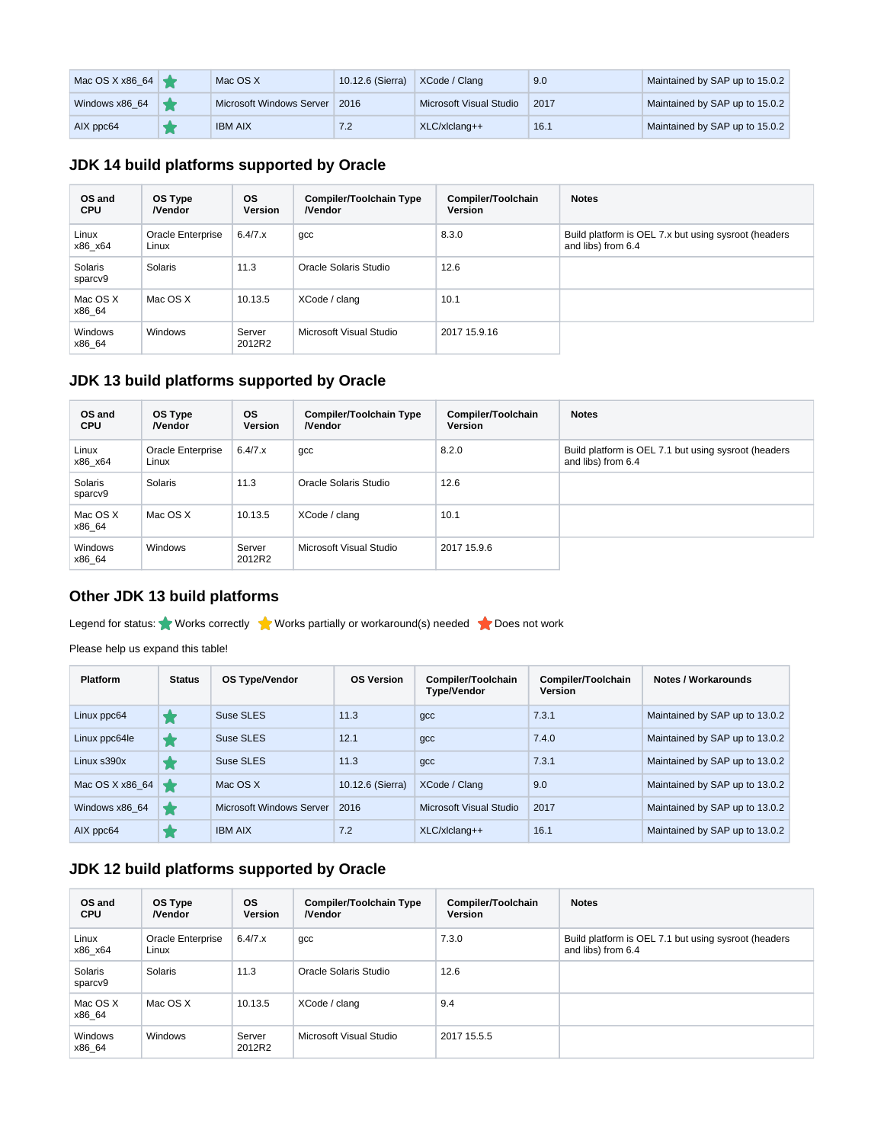| Mac OS X x86_64 | Mac OS X                 | 10.12.6 (Sierra) | XCode / Clang           | 9.0  | Maintained by SAP up to 15.0.2 |
|-----------------|--------------------------|------------------|-------------------------|------|--------------------------------|
| Windows x86_64  | Microsoft Windows Server | 2016             | Microsoft Visual Studio | 2017 | Maintained by SAP up to 15.0.2 |
| AIX ppc64       | <b>IBM AIX</b>           | 7.2              | $XLC/xlclanq++$         | 16.1 | Maintained by SAP up to 15.0.2 |

## **JDK 14 build platforms supported by Oracle**

| OS and<br><b>CPU</b> | OS Type<br><b>Nendor</b>   | <b>OS</b><br>Version | <b>Compiler/Toolchain Type</b><br><b>Nendor</b> | Compiler/Toolchain<br>Version | <b>Notes</b>                                                               |
|----------------------|----------------------------|----------------------|-------------------------------------------------|-------------------------------|----------------------------------------------------------------------------|
| Linux<br>x86 x64     | Oracle Enterprise<br>Linux | 6.4/7.x              | gcc                                             | 8.3.0                         | Build platform is OEL 7.x but using sysroot (headers<br>and libs) from 6.4 |
| Solaris<br>sparcv9   | Solaris                    | 11.3                 | Oracle Solaris Studio                           | 12.6                          |                                                                            |
| Mac OS X<br>x86 64   | Mac OS X                   | 10.13.5              | XCode / clang                                   | 10.1                          |                                                                            |
| Windows<br>x86 64    | Windows                    | Server<br>2012R2     | Microsoft Visual Studio                         | 2017 15.9.16                  |                                                                            |

## **JDK 13 build platforms supported by Oracle**

| OS and<br><b>CPU</b> | OS Type<br><b>Nendor</b>   | <b>OS</b><br>Version | <b>Compiler/Toolchain Type</b><br><b>Nendor</b> | Compiler/Toolchain<br><b>Version</b> | <b>Notes</b>                                                               |
|----------------------|----------------------------|----------------------|-------------------------------------------------|--------------------------------------|----------------------------------------------------------------------------|
| Linux<br>x86 x64     | Oracle Enterprise<br>Linux | 6.4/7.x              | gcc                                             | 8.2.0                                | Build platform is OEL 7.1 but using sysroot (headers<br>and libs) from 6.4 |
| Solaris<br>sparcv9   | Solaris                    | 11.3                 | Oracle Solaris Studio                           | 12.6                                 |                                                                            |
| Mac OS X<br>x86 64   | Mac OS X                   | 10.13.5              | XCode / clang                                   | 10.1                                 |                                                                            |
| Windows<br>x86 64    | Windows                    | Server<br>2012R2     | Microsoft Visual Studio                         | 2017 15.9.6                          |                                                                            |

## **Other JDK 13 build platforms**

Legend for status: Works correctly Works partially or workaround(s) needed Noes not work

Please help us expand this table!

| <b>Platform</b> | <b>Status</b> | <b>OS Type/Vendor</b>           | <b>OS Version</b> | Compiler/Toolchain<br><b>Type/Vendor</b> | Compiler/Toolchain<br><b>Version</b> | Notes / Workarounds            |
|-----------------|---------------|---------------------------------|-------------------|------------------------------------------|--------------------------------------|--------------------------------|
| Linux ppc64     |               | Suse SLES                       | 11.3              | qcc                                      | 7.3.1                                | Maintained by SAP up to 13.0.2 |
| Linux ppc64le   |               | Suse SLES                       | 12.1              | qcc                                      | 7.4.0                                | Maintained by SAP up to 13.0.2 |
| Linux s390x     |               | Suse SLES                       | 11.3              | qcc                                      | 7.3.1                                | Maintained by SAP up to 13.0.2 |
| Mac OS X x86 64 |               | Mac OS X                        | 10.12.6 (Sierra)  | XCode / Clang                            | 9.0                                  | Maintained by SAP up to 13.0.2 |
| Windows x86 64  |               | <b>Microsoft Windows Server</b> | 2016              | Microsoft Visual Studio                  | 2017                                 | Maintained by SAP up to 13.0.2 |
| AIX ppc64       |               | <b>IBM AIX</b>                  | 7.2               | $XLC/x$ Iclang++                         | 16.1                                 | Maintained by SAP up to 13.0.2 |

# **JDK 12 build platforms supported by Oracle**

| OS and<br><b>CPU</b> | OS Type<br><b>Nendor</b>   | <b>OS</b><br><b>Version</b> | <b>Compiler/Toolchain Type</b><br><b>Nendor</b> | Compiler/Toolchain<br><b>Version</b> | <b>Notes</b>                                                               |
|----------------------|----------------------------|-----------------------------|-------------------------------------------------|--------------------------------------|----------------------------------------------------------------------------|
| Linux<br>x86 x64     | Oracle Enterprise<br>Linux | 6.4/7.x                     | gcc                                             | 7.3.0                                | Build platform is OEL 7.1 but using sysroot (headers<br>and libs) from 6.4 |
| Solaris<br>sparcv9   | Solaris                    | 11.3                        | Oracle Solaris Studio                           | 12.6                                 |                                                                            |
| Mac OS X<br>x86 64   | Mac OS X                   | 10.13.5                     | XCode / clang                                   | 9.4                                  |                                                                            |
| Windows<br>x86 64    | Windows                    | Server<br>2012R2            | Microsoft Visual Studio                         | 2017 15.5.5                          |                                                                            |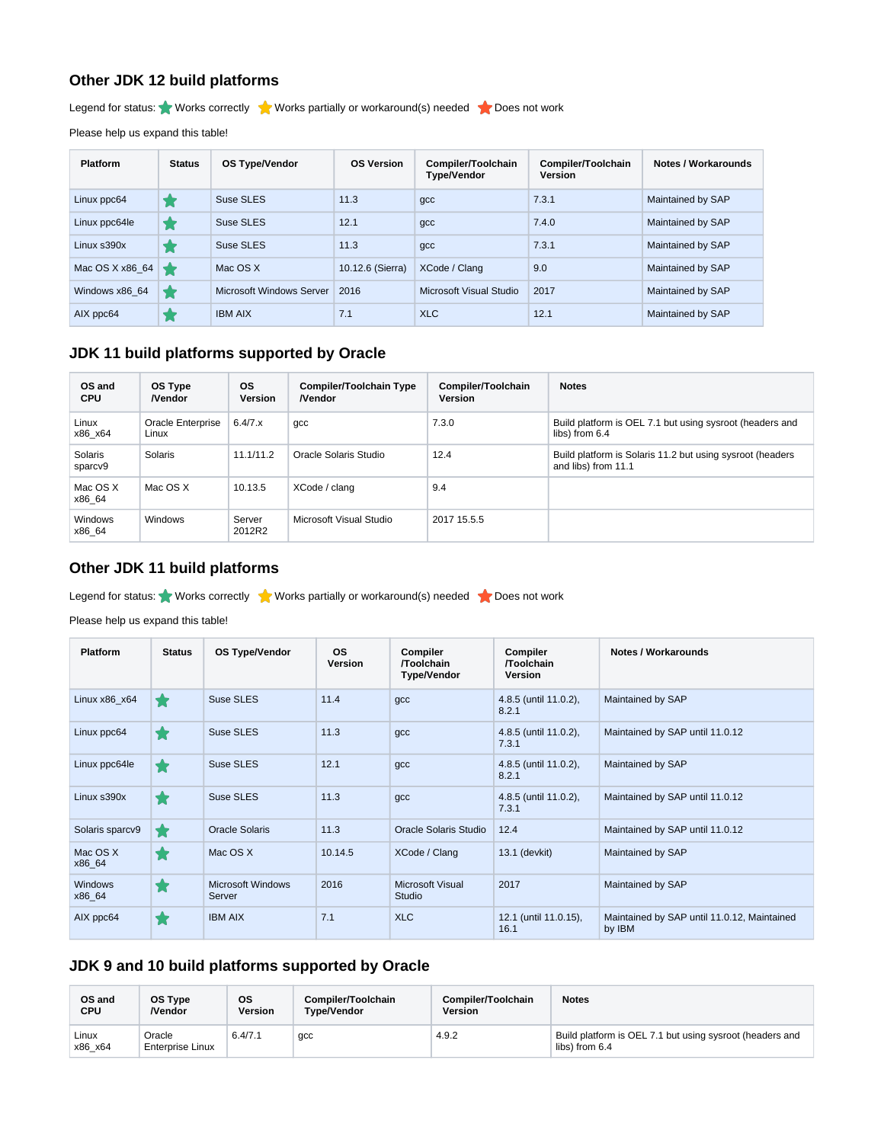#### **Other JDK 12 build platforms**

Legend for status: Works correctly Works partially or workaround(s) needed Noes not work

Please help us expand this table!

| <b>Platform</b>  | <b>Status</b> | <b>OS Type/Vendor</b>    | <b>OS Version</b> | Compiler/Toolchain<br><b>Type/Vendor</b> | Compiler/Toolchain<br><b>Version</b> | Notes / Workarounds |
|------------------|---------------|--------------------------|-------------------|------------------------------------------|--------------------------------------|---------------------|
| Linux ppc64      |               | Suse SLES                | 11.3              | gcc                                      | 7.3.1                                | Maintained by SAP   |
| Linux ppc64le    |               | Suse SLES                | 12.1              | gcc                                      | 7.4.0                                | Maintained by SAP   |
| $Linux$ s390 $x$ |               | Suse SLES                | 11.3              | gcc                                      | 7.3.1                                | Maintained by SAP   |
| Mac OS X x86_64  |               | Mac OS X                 | 10.12.6 (Sierra)  | XCode / Clang                            | 9.0                                  | Maintained by SAP   |
| Windows x86 64   |               | Microsoft Windows Server | 2016              | Microsoft Visual Studio                  | 2017                                 | Maintained by SAP   |
| AIX ppc64        |               | <b>IBM AIX</b>           | 7.1               | <b>XLC</b>                               | 12.1                                 | Maintained by SAP   |

## **JDK 11 build platforms supported by Oracle**

| OS and<br><b>CPU</b> | OS Type<br><b>Nendor</b>   | <b>OS</b><br><b>Version</b> | <b>Compiler/Toolchain Type</b><br><b>Nendor</b> | Compiler/Toolchain<br>Version | <b>Notes</b>                                                                     |
|----------------------|----------------------------|-----------------------------|-------------------------------------------------|-------------------------------|----------------------------------------------------------------------------------|
| Linux<br>x86 x64     | Oracle Enterprise<br>Linux | 6.4/7.x                     | gcc                                             | 7.3.0                         | Build platform is OEL 7.1 but using sysroot (headers and<br>libs) from 6.4       |
| Solaris<br>sparcv9   | Solaris                    | 11.1/11.2                   | Oracle Solaris Studio                           | 12.4                          | Build platform is Solaris 11.2 but using sysroot (headers<br>and libs) from 11.1 |
| Mac OS X<br>x86 64   | Mac OS X                   | 10.13.5                     | XCode / clang                                   | 9.4                           |                                                                                  |
| Windows<br>x86 64    | <b>Windows</b>             | Server<br>2012R2            | Microsoft Visual Studio                         | 2017 15.5.5                   |                                                                                  |

#### **Other JDK 11 build platforms**

Legend for status: Works correctly Works partially or workaround(s) needed Coes not work

Please help us expand this table!

| <b>Platform</b>          | <b>Status</b> | <b>OS Type/Vendor</b>              | <b>OS</b><br>Version | Compiler<br><b>Toolchain</b><br><b>Type/Vendor</b> | <b>Compiler</b><br>/Toolchain<br>Version | <b>Notes / Workarounds</b>                            |
|--------------------------|---------------|------------------------------------|----------------------|----------------------------------------------------|------------------------------------------|-------------------------------------------------------|
| Linux x86 x64            | ★             | Suse SLES                          | 11.4                 | $gcc$                                              | 4.8.5 (until 11.0.2),<br>8.2.1           | Maintained by SAP                                     |
| Linux ppc64              | ★             | Suse SLES                          | 11.3                 | $gcc$                                              | 4.8.5 (until 11.0.2),<br>7.3.1           | Maintained by SAP until 11.0.12                       |
| Linux ppc64le            | ★             | Suse SLES                          | 12.1                 | $gcc$                                              | 4.8.5 (until 11.0.2),<br>8.2.1           | Maintained by SAP                                     |
| Linux s390x              | ★             | Suse SLES                          | 11.3                 | $gcc$                                              | 4.8.5 (until 11.0.2),<br>7.3.1           | Maintained by SAP until 11.0.12                       |
| Solaris sparcv9          | ★             | <b>Oracle Solaris</b>              | 11.3                 | Oracle Solaris Studio                              | 12.4                                     | Maintained by SAP until 11.0.12                       |
| Mac OS X<br>x86_64       | ★             | Mac OS X                           | 10.14.5              | XCode / Clang                                      | 13.1 (devkit)                            | Maintained by SAP                                     |
| <b>Windows</b><br>x86_64 | ★             | <b>Microsoft Windows</b><br>Server | 2016                 | <b>Microsoft Visual</b><br>Studio                  | 2017                                     | Maintained by SAP                                     |
| AIX ppc64                | $\star$       | <b>IBM AIX</b>                     | 7.1                  | <b>XLC</b>                                         | 12.1 (until 11.0.15),<br>16.1            | Maintained by SAP until 11.0.12, Maintained<br>by IBM |

## **JDK 9 and 10 build platforms supported by Oracle**

| OS and           | OS Type                           | <b>OS</b>      | Compiler/Toolchain | Compiler/Toolchain | <b>Notes</b>                                                               |
|------------------|-----------------------------------|----------------|--------------------|--------------------|----------------------------------------------------------------------------|
| <b>CPU</b>       | /Vendor                           | <b>Version</b> | Tvpe/Vendor        | Version            |                                                                            |
| Linux<br>x86 x64 | Oracle<br><b>Enterprise Linux</b> | 6.4/7.1        | gcc                | 4.9.2              | Build platform is OEL 7.1 but using sysroot (headers and<br>libs) from 6.4 |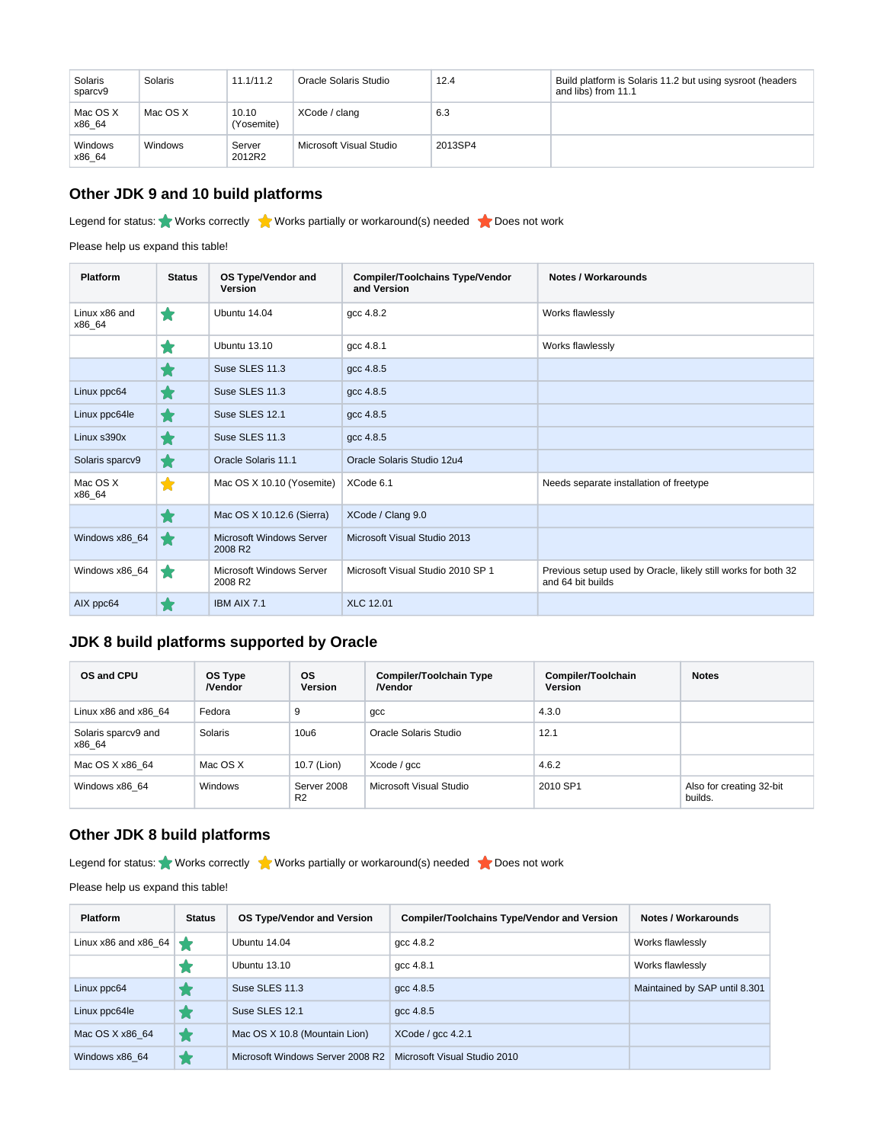| Solaris<br>sparcv9 | Solaris  | 11.1/11.2           | Oracle Solaris Studio   | 12.4    | Build platform is Solaris 11.2 but using sysroot (headers<br>and libs) from 11.1 |
|--------------------|----------|---------------------|-------------------------|---------|----------------------------------------------------------------------------------|
| Mac OS X<br>x86 64 | Mac OS X | 10.10<br>(Yosemite) | XCode / clang           | 6.3     |                                                                                  |
| Windows<br>x86 64  | Windows  | Server<br>2012R2    | Microsoft Visual Studio | 2013SP4 |                                                                                  |

# **Other JDK 9 and 10 build platforms**

Legend for status: Works correctly Works partially or workaround(s) needed Noes not work

Please help us expand this table!

| Platform                | <b>Status</b> | OS Type/Vendor and<br><b>Version</b>                   | <b>Compiler/Toolchains Type/Vendor</b><br>and Version | Notes / Workarounds                                                                |
|-------------------------|---------------|--------------------------------------------------------|-------------------------------------------------------|------------------------------------------------------------------------------------|
| Linux x86 and<br>x86_64 | ★             | Ubuntu 14.04                                           | qcc 4.8.2                                             | Works flawlessly                                                                   |
|                         | Ħ             | <b>Ubuntu 13.10</b>                                    | gcc 4.8.1                                             | Works flawlessly                                                                   |
|                         | 1. (          | Suse SLES 11.3                                         | qcc 4.8.5                                             |                                                                                    |
| Linux ppc64             | ★             | Suse SLES 11.3                                         | gcc 4.8.5                                             |                                                                                    |
| Linux ppc64le           | $\bigstar$    | Suse SLES 12.1                                         | gcc 4.8.5                                             |                                                                                    |
| Linux s390x             | ★             | Suse SLES 11.3                                         | gcc 4.8.5                                             |                                                                                    |
| Solaris sparcv9         | ★             | Oracle Solaris 11.1                                    | Oracle Solaris Studio 12u4                            |                                                                                    |
| Mac OS X<br>x86_64      | $\bigstar$    | Mac OS X 10.10 (Yosemite)                              | XCode 6.1                                             | Needs separate installation of freetype                                            |
|                         | $\bigstar$    | Mac OS X 10.12.6 (Sierra)                              | XCode / Clang 9.0                                     |                                                                                    |
| Windows x86_64          | ╈             | <b>Microsoft Windows Server</b><br>2008 R <sub>2</sub> | Microsoft Visual Studio 2013                          |                                                                                    |
| Windows x86_64          | ★             | Microsoft Windows Server<br>2008 R2                    | Microsoft Visual Studio 2010 SP 1                     | Previous setup used by Oracle, likely still works for both 32<br>and 64 bit builds |
| AIX ppc64               | ★             | IBM AIX 7.1                                            | <b>XLC 12.01</b>                                      |                                                                                    |

#### **JDK 8 build platforms supported by Oracle**

| OS and CPU                    | OS Type<br><b>Nendor</b> | ΟS<br><b>Version</b>          | <b>Compiler/Toolchain Type</b><br><b>Nendor</b> | Compiler/Toolchain<br><b>Version</b> | <b>Notes</b>                        |
|-------------------------------|--------------------------|-------------------------------|-------------------------------------------------|--------------------------------------|-------------------------------------|
| Linux $x86$ and $x86$ 64      | Fedora                   | 9                             | gcc                                             | 4.3.0                                |                                     |
| Solaris sparcv9 and<br>x86 64 | Solaris                  | 10u6                          | Oracle Solaris Studio                           | 12.1                                 |                                     |
| Mac OS X x86 64               | Mac OS X                 | 10.7 (Lion)                   | Xcode / gcc                                     | 4.6.2                                |                                     |
| Windows x86 64                | <b>Windows</b>           | Server 2008<br>R <sub>2</sub> | Microsoft Visual Studio                         | 2010 SP1                             | Also for creating 32-bit<br>builds. |

## **Other JDK 8 build platforms**

Legend for status: Works correctly Works partially or workaround(s) needed to Does not work

Please help us expand this table!

| <b>Platform</b>          | <b>Status</b> | <b>OS Type/Vendor and Version</b> | <b>Compiler/Toolchains Type/Vendor and Version</b> | Notes / Workarounds           |
|--------------------------|---------------|-----------------------------------|----------------------------------------------------|-------------------------------|
| Linux $x86$ and $x86$ 64 |               | Ubuntu 14.04                      | $qcc$ 4.8.2                                        | Works flawlessly              |
|                          |               | Ubuntu 13.10                      | $qcc$ 4.8.1                                        | Works flawlessly              |
| Linux ppc64              |               | Suse SLES 11.3                    | $qcc$ 4.8.5                                        | Maintained by SAP until 8.301 |
| Linux ppc64le            |               | Suse SLES 12.1                    | $qcc$ 4.8.5                                        |                               |
| Mac OS X x86 64          |               | Mac OS X 10.8 (Mountain Lion)     | $XCode /$ qcc 4.2.1                                |                               |
| Windows x86 64           |               | Microsoft Windows Server 2008 R2  | Microsoft Visual Studio 2010                       |                               |